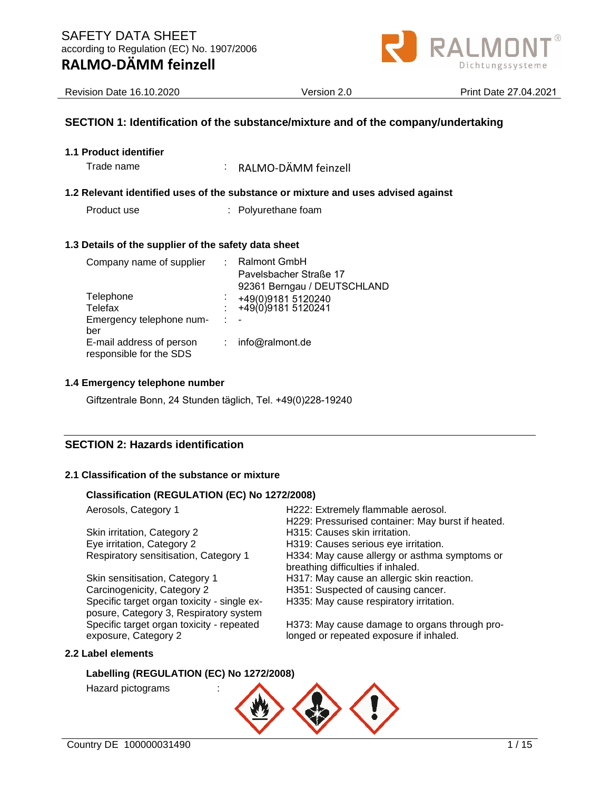

| <b>Revision Date 16.10.2020</b>      | Version 2.0                                                                       | <b>Print Date 27,04,2021</b> |  |
|--------------------------------------|-----------------------------------------------------------------------------------|------------------------------|--|
|                                      | SECTION 1: Identification of the substance/mixture and of the company/undertaking |                              |  |
| 1.1 Product identifier<br>Trade name | RALMO-DÄMM feinzell                                                               |                              |  |

### **1.2 Relevant identified uses of the substance or mixture and uses advised against**

Product use : Polyurethane foam

### **1.3 Details of the supplier of the safety data sheet**

| Company name of supplier                            |   | <b>Ralmont GmbH</b><br>Pavelsbacher Straße 17<br>92361 Berngau / DEUTSCHLAND |
|-----------------------------------------------------|---|------------------------------------------------------------------------------|
| Telephone<br>Telefax                                | ÷ | +49(0)9181 5120240<br>+49(0)9181 5120241                                     |
| Emergency telephone num-<br>ber                     | ÷ |                                                                              |
| E-mail address of person<br>responsible for the SDS |   | info@ralmont.de                                                              |

### **1.4 Emergency telephone number**

Giftzentrale Bonn, 24 Stunden täglich, Tel. +49(0)228-19240

# **SECTION 2: Hazards identification**

### **2.1 Classification of the substance or mixture**

### **Classification (REGULATION (EC) No 1272/2008)**

| Aerosols, Category 1        |                                                                                       | H222: Extremely flammable aerosol.                                                  |
|-----------------------------|---------------------------------------------------------------------------------------|-------------------------------------------------------------------------------------|
|                             |                                                                                       | H229: Pressurised container: May burst if heated.<br>H315: Causes skin irritation.  |
| Skin irritation, Category 2 |                                                                                       |                                                                                     |
| Eye irritation, Category 2  |                                                                                       | H319: Causes serious eye irritation.                                                |
|                             | Respiratory sensitisation, Category 1                                                 | H334: May cause allergy or asthma symptoms or<br>breathing difficulties if inhaled. |
|                             | Skin sensitisation, Category 1                                                        | H317: May cause an allergic skin reaction.                                          |
|                             | Carcinogenicity, Category 2                                                           | H351: Suspected of causing cancer.                                                  |
|                             | Specific target organ toxicity - single ex-<br>posure, Category 3, Respiratory system | H335: May cause respiratory irritation.                                             |
|                             | Specific target organ toxicity - repeated                                             | H373: May cause damage to organs through pro-                                       |
| exposure, Category 2        |                                                                                       | longed or repeated exposure if inhaled.                                             |
| 2.2 Label elements          |                                                                                       |                                                                                     |
|                             |                                                                                       |                                                                                     |

# **Labelling (REGULATION (EC) No 1272/2008)**

Hazard pictograms :

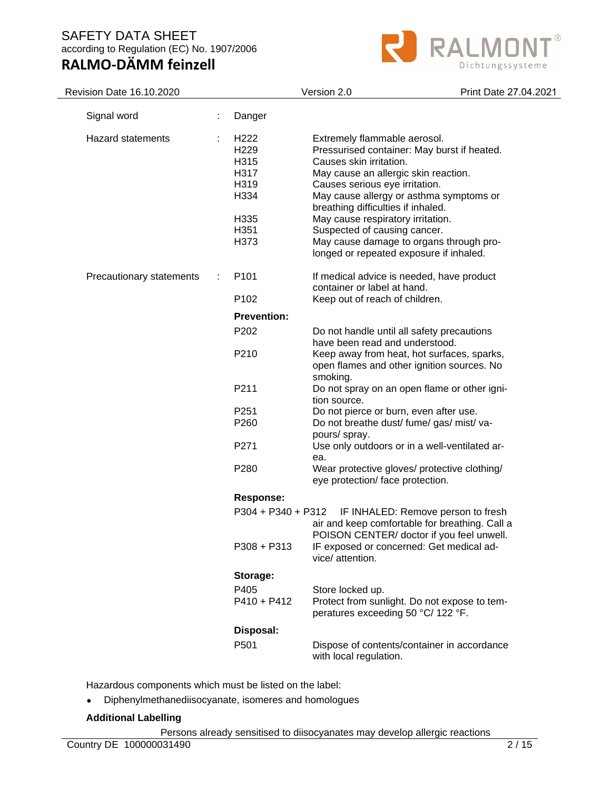

| Revision Date 16.10.2020 |                                                                                              | Version 2.0                                                                                                                                                                                                                                                                                                                                                                                                                  | Print Date 27.04.2021 |
|--------------------------|----------------------------------------------------------------------------------------------|------------------------------------------------------------------------------------------------------------------------------------------------------------------------------------------------------------------------------------------------------------------------------------------------------------------------------------------------------------------------------------------------------------------------------|-----------------------|
| Signal word              | Danger                                                                                       |                                                                                                                                                                                                                                                                                                                                                                                                                              |                       |
| <b>Hazard statements</b> | H <sub>222</sub><br>H <sub>229</sub><br>H315<br>H317<br>H319<br>H334<br>H335<br>H351<br>H373 | Extremely flammable aerosol.<br>Pressurised container: May burst if heated.<br>Causes skin irritation.<br>May cause an allergic skin reaction.<br>Causes serious eye irritation.<br>May cause allergy or asthma symptoms or<br>breathing difficulties if inhaled.<br>May cause respiratory irritation.<br>Suspected of causing cancer.<br>May cause damage to organs through pro-<br>longed or repeated exposure if inhaled. |                       |
| Precautionary statements | P101                                                                                         | If medical advice is needed, have product<br>container or label at hand.                                                                                                                                                                                                                                                                                                                                                     |                       |
|                          | P102                                                                                         | Keep out of reach of children.                                                                                                                                                                                                                                                                                                                                                                                               |                       |
|                          | <b>Prevention:</b>                                                                           |                                                                                                                                                                                                                                                                                                                                                                                                                              |                       |
|                          | P202                                                                                         | Do not handle until all safety precautions<br>have been read and understood.                                                                                                                                                                                                                                                                                                                                                 |                       |
|                          | P210                                                                                         | Keep away from heat, hot surfaces, sparks,<br>open flames and other ignition sources. No<br>smoking.                                                                                                                                                                                                                                                                                                                         |                       |
|                          | P211                                                                                         | Do not spray on an open flame or other igni-<br>tion source.                                                                                                                                                                                                                                                                                                                                                                 |                       |
|                          | P <sub>251</sub>                                                                             | Do not pierce or burn, even after use.                                                                                                                                                                                                                                                                                                                                                                                       |                       |
|                          | P260                                                                                         | Do not breathe dust/ fume/ gas/ mist/ va-<br>pours/ spray.                                                                                                                                                                                                                                                                                                                                                                   |                       |
|                          | P271                                                                                         | Use only outdoors or in a well-ventilated ar-<br>ea.                                                                                                                                                                                                                                                                                                                                                                         |                       |
|                          | P280                                                                                         | Wear protective gloves/ protective clothing/<br>eye protection/ face protection.                                                                                                                                                                                                                                                                                                                                             |                       |
|                          | <b>Response:</b>                                                                             |                                                                                                                                                                                                                                                                                                                                                                                                                              |                       |
|                          | $P304 + P340 + P312$                                                                         | IF INHALED: Remove person to fresh<br>air and keep comfortable for breathing. Call a<br>POISON CENTER/ doctor if you feel unwell.                                                                                                                                                                                                                                                                                            |                       |
|                          | $P308 + P313$                                                                                | IF exposed or concerned: Get medical ad-<br>vice/ attention.                                                                                                                                                                                                                                                                                                                                                                 |                       |
|                          | Storage:                                                                                     |                                                                                                                                                                                                                                                                                                                                                                                                                              |                       |
|                          | P405<br>$P410 + P412$                                                                        | Store locked up.<br>Protect from sunlight. Do not expose to tem-<br>peratures exceeding 50 °C/ 122 °F.                                                                                                                                                                                                                                                                                                                       |                       |
|                          | Disposal:                                                                                    |                                                                                                                                                                                                                                                                                                                                                                                                                              |                       |
|                          | P501                                                                                         | Dispose of contents/container in accordance<br>with local regulation.                                                                                                                                                                                                                                                                                                                                                        |                       |

Hazardous components which must be listed on the label:

• Diphenylmethanediisocyanate, isomeres and homologues

#### **Additional Labelling**

Persons already sensitised to diisocyanates may develop allergic reactions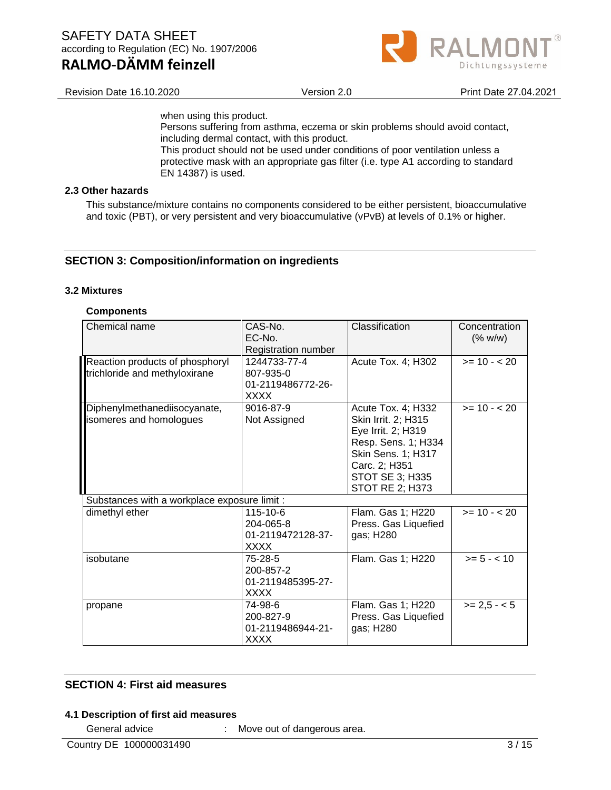

Revision Date 16.10.2020 Version 2.0 Print Date 27.04.2021

when using this product.

Persons suffering from asthma, eczema or skin problems should avoid contact, including dermal contact, with this product.

This product should not be used under conditions of poor ventilation unless a protective mask with an appropriate gas filter (i.e. type A1 according to standard EN 14387) is used.

#### **2.3 Other hazards**

This substance/mixture contains no components considered to be either persistent, bioaccumulative and toxic (PBT), or very persistent and very bioaccumulative (vPvB) at levels of 0.1% or higher.

#### **SECTION 3: Composition/information on ingredients**

#### **3.2 Mixtures**

#### **Components**

| Chemical name                                                    | CAS-No.<br>EC-No.<br>Registration number                      | Classification                                                                                                                                                             | Concentration<br>(% w/w) |
|------------------------------------------------------------------|---------------------------------------------------------------|----------------------------------------------------------------------------------------------------------------------------------------------------------------------------|--------------------------|
| Reaction products of phosphoryl<br>trichloride and methyloxirane | 1244733-77-4<br>807-935-0<br>01-2119486772-26-<br><b>XXXX</b> | Acute Tox. 4; H302                                                                                                                                                         | $>= 10 - 20$             |
| Diphenylmethanediisocyanate,<br>isomeres and homologues          | 9016-87-9<br>Not Assigned                                     | Acute Tox. 4; H332<br>Skin Irrit. 2; H315<br>Eye Irrit. 2; H319<br>Resp. Sens. 1; H334<br>Skin Sens. 1; H317<br>Carc. 2; H351<br>STOT SE 3; H335<br><b>STOT RE 2; H373</b> | $>= 10 - 20$             |
| Substances with a workplace exposure limit :                     |                                                               |                                                                                                                                                                            |                          |
| dimethyl ether                                                   | $115 - 10 - 6$<br>204-065-8<br>01-2119472128-37-<br>XXXX      | Flam. Gas 1; H220<br>Press. Gas Liquefied<br>gas; H280                                                                                                                     | $>= 10 - 20$             |
| isobutane                                                        | 75-28-5<br>200-857-2<br>01-2119485395-27-<br><b>XXXX</b>      | Flam. Gas 1; H220                                                                                                                                                          | $>= 5 - < 10$            |
| propane                                                          | 74-98-6<br>200-827-9<br>01-2119486944-21-<br>XXXX             | Flam. Gas 1; H220<br>Press. Gas Liquefied<br>gas; H280                                                                                                                     | $>= 2.5 - 5$             |

### **SECTION 4: First aid measures**

#### **4.1 Description of first aid measures**

General advice : Move out of dangerous area.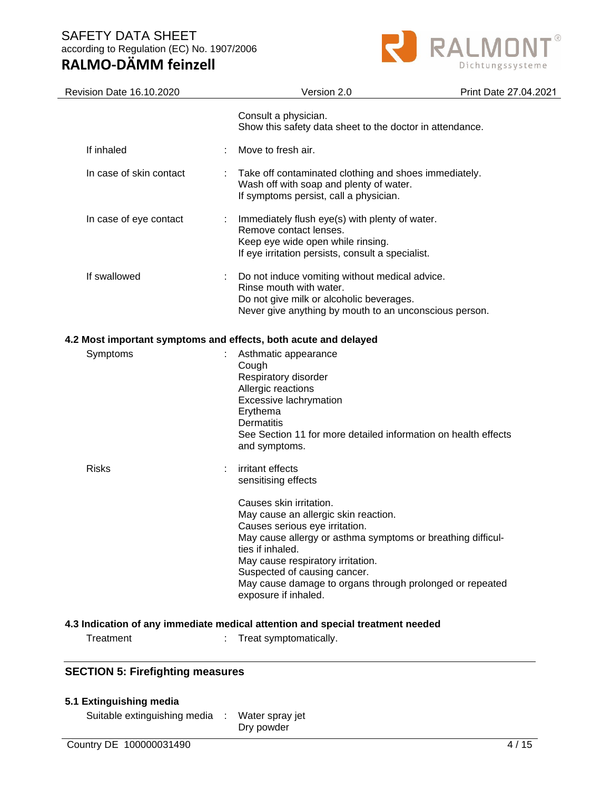# **RALMO-DÄMM feinzell**



| Revision Date 16.10.2020                                        | Version 2.0                                                                                                                                                                                                                                                                                                                                                                              | Print Date 27.04.2021 |
|-----------------------------------------------------------------|------------------------------------------------------------------------------------------------------------------------------------------------------------------------------------------------------------------------------------------------------------------------------------------------------------------------------------------------------------------------------------------|-----------------------|
|                                                                 | Consult a physician.<br>Show this safety data sheet to the doctor in attendance.                                                                                                                                                                                                                                                                                                         |                       |
| If inhaled                                                      | Move to fresh air.                                                                                                                                                                                                                                                                                                                                                                       |                       |
| In case of skin contact                                         | Take off contaminated clothing and shoes immediately.<br>Wash off with soap and plenty of water.<br>If symptoms persist, call a physician.                                                                                                                                                                                                                                               |                       |
| In case of eye contact                                          | Immediately flush eye(s) with plenty of water.<br>Remove contact lenses.<br>Keep eye wide open while rinsing.<br>If eye irritation persists, consult a specialist.                                                                                                                                                                                                                       |                       |
| If swallowed                                                    | Do not induce vomiting without medical advice.<br>Rinse mouth with water.<br>Do not give milk or alcoholic beverages.<br>Never give anything by mouth to an unconscious person.                                                                                                                                                                                                          |                       |
| 4.2 Most important symptoms and effects, both acute and delayed |                                                                                                                                                                                                                                                                                                                                                                                          |                       |
| Symptoms                                                        | Asthmatic appearance<br>Cough<br>Respiratory disorder<br>Allergic reactions<br>Excessive lachrymation<br>Erythema<br>Dermatitis<br>See Section 11 for more detailed information on health effects<br>and symptoms.                                                                                                                                                                       |                       |
| <b>Risks</b>                                                    | irritant effects<br>sensitising effects<br>Causes skin irritation.<br>May cause an allergic skin reaction.<br>Causes serious eye irritation.<br>May cause allergy or asthma symptoms or breathing difficul-<br>ties if inhaled.<br>May cause respiratory irritation.<br>Suspected of causing cancer.<br>May cause damage to organs through prolonged or repeated<br>exposure if inhaled. |                       |
|                                                                 | 4.3 Indication of any immediate medical attention and special treatment needed                                                                                                                                                                                                                                                                                                           |                       |
| Treatment                                                       | Treat symptomatically.                                                                                                                                                                                                                                                                                                                                                                   |                       |

# **SECTION 5: Firefighting measures**

|  | 5.1 Extinguishing media |  |
|--|-------------------------|--|
|--|-------------------------|--|

Suitable extinguishing media : Water spray jet Dry powder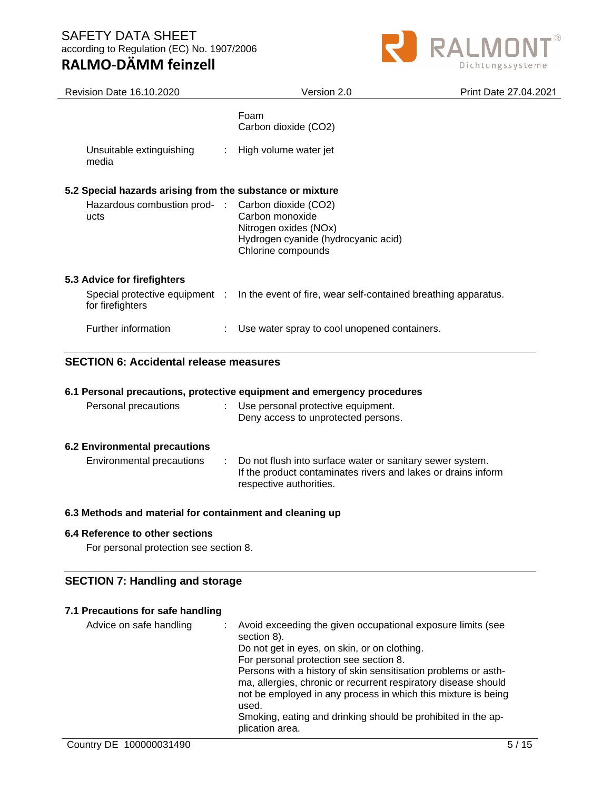# **RALMO-DÄMM feinzell**



| <b>Revision Date 16.10.2020</b>                           | Version 2.0                                                                                           | Print Date 27.04.2021 |
|-----------------------------------------------------------|-------------------------------------------------------------------------------------------------------|-----------------------|
|                                                           | Foam<br>Carbon dioxide (CO2)                                                                          |                       |
| Unsuitable extinguishing<br>media                         | : High volume water jet                                                                               |                       |
| 5.2 Special hazards arising from the substance or mixture |                                                                                                       |                       |
| Hazardous combustion prod- : Carbon dioxide (CO2)<br>ucts | Carbon monoxide<br>Nitrogen oxides (NOx)<br>Hydrogen cyanide (hydrocyanic acid)<br>Chlorine compounds |                       |
| 5.3 Advice for firefighters                               |                                                                                                       |                       |
| for firefighters                                          | Special protective equipment : In the event of fire, wear self-contained breathing apparatus.         |                       |
| Further information                                       | Use water spray to cool unopened containers.<br>÷.                                                    |                       |

# **SECTION 6: Accidental release measures**

#### **6.1 Personal precautions, protective equipment and emergency procedures**

| Personal precautions          | : Use personal protective equipment.<br>Deny access to unprotected persons.                                                                             |
|-------------------------------|---------------------------------------------------------------------------------------------------------------------------------------------------------|
| 6.2 Environmental precautions |                                                                                                                                                         |
| Environmental precautions     | : Do not flush into surface water or sanitary sewer system.<br>If the product contaminates rivers and lakes or drains inform<br>respective authorities. |

#### **6.3 Methods and material for containment and cleaning up**

#### **6.4 Reference to other sections**

For personal protection see section 8.

#### **SECTION 7: Handling and storage**

#### **7.1 Precautions for safe handling**

| Advice on safe handling | : Avoid exceeding the given occupational exposure limits (see<br>section 8).    |
|-------------------------|---------------------------------------------------------------------------------|
|                         | Do not get in eyes, on skin, or on clothing.                                    |
|                         | For personal protection see section 8.                                          |
|                         | Persons with a history of skin sensitisation problems or asth-                  |
|                         | ma, allergies, chronic or recurrent respiratory disease should                  |
|                         | not be employed in any process in which this mixture is being<br>used.          |
|                         | Smoking, eating and drinking should be prohibited in the ap-<br>plication area. |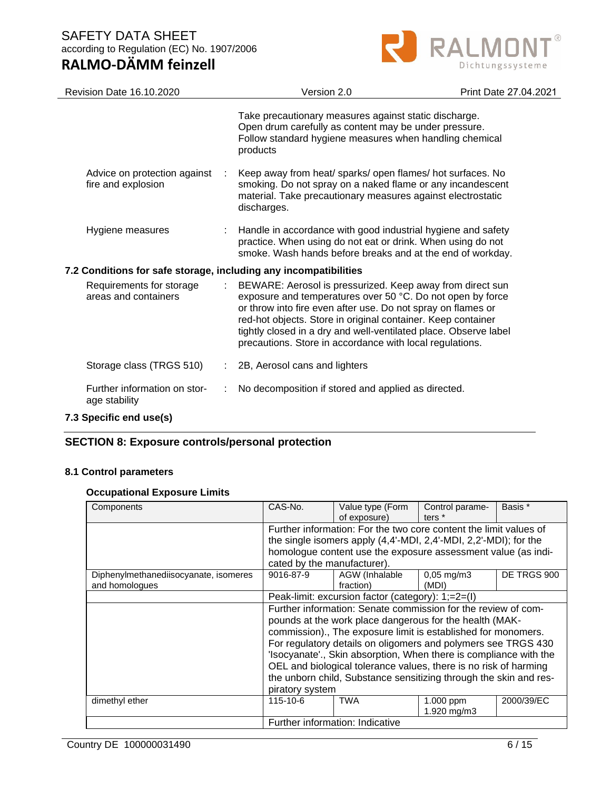



| <b>Revision Date 16.10.2020</b>                                  | Version 2.0                                                                                                                                                                                                                                                                                                                                                                             | Print Date 27.04.2021 |
|------------------------------------------------------------------|-----------------------------------------------------------------------------------------------------------------------------------------------------------------------------------------------------------------------------------------------------------------------------------------------------------------------------------------------------------------------------------------|-----------------------|
|                                                                  | Take precautionary measures against static discharge.<br>Open drum carefully as content may be under pressure.<br>Follow standard hygiene measures when handling chemical<br>products                                                                                                                                                                                                   |                       |
| Advice on protection against<br>fire and explosion               | Keep away from heat/ sparks/ open flames/ hot surfaces. No<br>smoking. Do not spray on a naked flame or any incandescent<br>material. Take precautionary measures against electrostatic<br>discharges.                                                                                                                                                                                  |                       |
| Hygiene measures                                                 | Handle in accordance with good industrial hygiene and safety<br>practice. When using do not eat or drink. When using do not<br>smoke. Wash hands before breaks and at the end of workday.                                                                                                                                                                                               |                       |
| 7.2 Conditions for safe storage, including any incompatibilities |                                                                                                                                                                                                                                                                                                                                                                                         |                       |
| Requirements for storage<br>areas and containers                 | BEWARE: Aerosol is pressurized. Keep away from direct sun<br>exposure and temperatures over 50 °C. Do not open by force<br>or throw into fire even after use. Do not spray on flames or<br>red-hot objects. Store in original container. Keep container<br>tightly closed in a dry and well-ventilated place. Observe label<br>precautions. Store in accordance with local regulations. |                       |
| Storage class (TRGS 510)                                         | 2B, Aerosol cans and lighters                                                                                                                                                                                                                                                                                                                                                           |                       |
| Further information on stor-<br>age stability                    | No decomposition if stored and applied as directed.                                                                                                                                                                                                                                                                                                                                     |                       |
| 7.3 Specific end use(s)                                          |                                                                                                                                                                                                                                                                                                                                                                                         |                       |

# **SECTION 8: Exposure controls/personal protection**

#### **8.1 Control parameters**

#### **Occupational Exposure Limits**

| Components                                              | CAS-No.                                                           | Value type (Form<br>of exposure)                                  | Control parame-<br>ters $*$       | Basis *     |
|---------------------------------------------------------|-------------------------------------------------------------------|-------------------------------------------------------------------|-----------------------------------|-------------|
|                                                         | Further information: For the two core content the limit values of |                                                                   |                                   |             |
|                                                         |                                                                   | the single isomers apply (4,4'-MDI, 2,4'-MDI, 2,2'-MDI); for the  |                                   |             |
|                                                         |                                                                   | homologue content use the exposure assessment value (as indi-     |                                   |             |
|                                                         | cated by the manufacturer).                                       |                                                                   |                                   |             |
| Diphenylmethanediisocyanate, isomeres<br>and homologues | 9016-87-9                                                         | AGW (Inhalable<br>fraction)                                       | $0,05 \,\mathrm{mg/m}$ 3<br>(MDI) | DE TRGS 900 |
|                                                         | Peak-limit: excursion factor (category): 1;=2=(l)                 |                                                                   |                                   |             |
|                                                         | Further information: Senate commission for the review of com-     |                                                                   |                                   |             |
|                                                         | pounds at the work place dangerous for the health (MAK-           |                                                                   |                                   |             |
|                                                         |                                                                   | commission)., The exposure limit is established for monomers.     |                                   |             |
|                                                         |                                                                   | For regulatory details on oligomers and polymers see TRGS 430     |                                   |             |
|                                                         |                                                                   | 'Isocyanate'., Skin absorption, When there is compliance with the |                                   |             |
|                                                         |                                                                   | OEL and biological tolerance values, there is no risk of harming  |                                   |             |
|                                                         |                                                                   | the unborn child, Substance sensitizing through the skin and res- |                                   |             |
|                                                         | piratory system                                                   |                                                                   |                                   |             |
| dimethyl ether                                          | 115-10-6                                                          | <b>TWA</b>                                                        | $1.000$ ppm<br>1.920 mg/m3        | 2000/39/EC  |
|                                                         | Further information: Indicative                                   |                                                                   |                                   |             |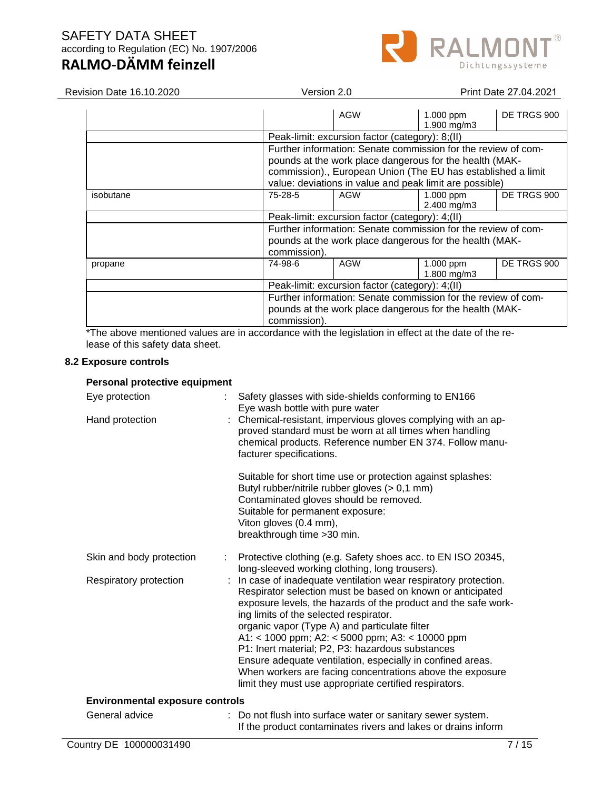

| <b>Revision Date 16.10.2020</b> | Version 2.0                                                                                                                                                                                 |                                                 | Print Date 27.04.2021      |             |
|---------------------------------|---------------------------------------------------------------------------------------------------------------------------------------------------------------------------------------------|-------------------------------------------------|----------------------------|-------------|
|                                 |                                                                                                                                                                                             | <b>AGW</b>                                      | 1.000 ppm<br>1.900 mg/m3   | DE TRGS 900 |
|                                 |                                                                                                                                                                                             | Peak-limit: excursion factor (category): 8;(II) |                            |             |
|                                 | Further information: Senate commission for the review of com-<br>pounds at the work place dangerous for the health (MAK-<br>commission)., European Union (The EU has established a limit    |                                                 |                            |             |
|                                 | value: deviations in value and peak limit are possible)                                                                                                                                     |                                                 |                            |             |
| isobutane                       | 75-28-5                                                                                                                                                                                     | <b>AGW</b>                                      | $1.000$ ppm<br>2.400 mg/m3 | DE TRGS 900 |
|                                 | Peak-limit: excursion factor (category): 4;(II)<br>Further information: Senate commission for the review of com-<br>pounds at the work place dangerous for the health (MAK-                 |                                                 |                            |             |
|                                 |                                                                                                                                                                                             |                                                 |                            |             |
|                                 |                                                                                                                                                                                             |                                                 |                            |             |
|                                 | commission).                                                                                                                                                                                |                                                 |                            |             |
| propane                         | 74-98-6                                                                                                                                                                                     | AGW                                             | 1.000 ppm<br>1.800 mg/m3   | DE TRGS 900 |
|                                 | Peak-limit: excursion factor (category): 4;(II)<br>Further information: Senate commission for the review of com-<br>pounds at the work place dangerous for the health (MAK-<br>commission). |                                                 |                            |             |
|                                 |                                                                                                                                                                                             |                                                 |                            |             |

\*The above mentioned values are in accordance with the legislation in effect at the date of the release of this safety data sheet.

#### **8.2 Exposure controls**

#### **Personal protective equipment**

| Eye protection                         | Safety glasses with side-shields conforming to EN166<br>Eye wash bottle with pure water                                                                                                                                                                                                                                                                                                                                                                                                                                                                                               |
|----------------------------------------|---------------------------------------------------------------------------------------------------------------------------------------------------------------------------------------------------------------------------------------------------------------------------------------------------------------------------------------------------------------------------------------------------------------------------------------------------------------------------------------------------------------------------------------------------------------------------------------|
| Hand protection                        | : Chemical-resistant, impervious gloves complying with an ap-<br>proved standard must be worn at all times when handling<br>chemical products. Reference number EN 374. Follow manu-<br>facturer specifications.                                                                                                                                                                                                                                                                                                                                                                      |
|                                        | Suitable for short time use or protection against splashes:<br>Butyl rubber/nitrile rubber gloves (> 0,1 mm)<br>Contaminated gloves should be removed.<br>Suitable for permanent exposure:<br>Viton gloves (0.4 mm),<br>breakthrough time > 30 min.                                                                                                                                                                                                                                                                                                                                   |
| Skin and body protection               | Protective clothing (e.g. Safety shoes acc. to EN ISO 20345,<br>long-sleeved working clothing, long trousers).                                                                                                                                                                                                                                                                                                                                                                                                                                                                        |
| Respiratory protection<br>t.           | In case of inadequate ventilation wear respiratory protection.<br>Respirator selection must be based on known or anticipated<br>exposure levels, the hazards of the product and the safe work-<br>ing limits of the selected respirator.<br>organic vapor (Type A) and particulate filter<br>A1: < 1000 ppm; A2: < 5000 ppm; A3: < 10000 ppm<br>P1: Inert material; P2, P3: hazardous substances<br>Ensure adequate ventilation, especially in confined areas.<br>When workers are facing concentrations above the exposure<br>limit they must use appropriate certified respirators. |
| <b>Environmental exposure controls</b> |                                                                                                                                                                                                                                                                                                                                                                                                                                                                                                                                                                                       |
| General advice<br>÷.                   | Do not flush into surface water or sanitary sewer system.<br>If the product contaminates rivers and lakes or drains inform                                                                                                                                                                                                                                                                                                                                                                                                                                                            |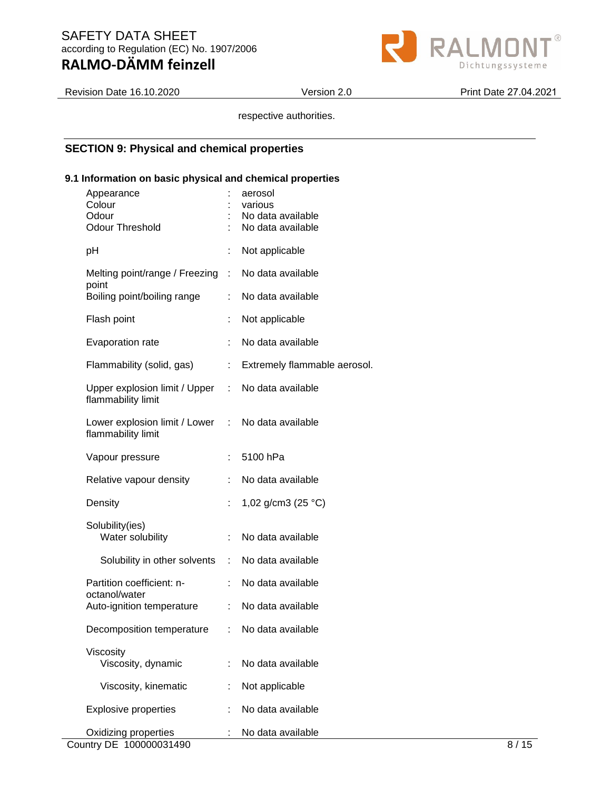

Revision Date 16.10.2020 Version 2.0 Print Date 27.04.2021

respective authorities.

# **SECTION 9: Physical and chemical properties**

#### **9.1 Information on basic physical and chemical properties**

| Appearance<br>Colour<br>Odour<br><b>Odour Threshold</b>                 |                           | aerosol<br>various<br>No data available<br>No data available |
|-------------------------------------------------------------------------|---------------------------|--------------------------------------------------------------|
| рH                                                                      | t                         | Not applicable                                               |
| Melting point/range / Freezing : No data available                      |                           |                                                              |
| point<br>Boiling point/boiling range                                    | t.                        | No data available                                            |
| Flash point                                                             | t                         | Not applicable                                               |
| Evaporation rate                                                        | ÷.                        | No data available                                            |
| Flammability (solid, gas)                                               | $\mathbb{Z}^{\mathbb{Z}}$ | Extremely flammable aerosol.                                 |
| Upper explosion limit / Upper :<br>flammability limit                   |                           | No data available                                            |
| Lower explosion limit / Lower : No data available<br>flammability limit |                           |                                                              |
| Vapour pressure                                                         | t.                        | 5100 hPa                                                     |
| Relative vapour density                                                 | ÷.                        | No data available                                            |
| Density                                                                 |                           | 1,02 g/cm3 (25 °C)                                           |
| Solubility(ies)<br>Water solubility                                     | ÷.                        | No data available                                            |
| Solubility in other solvents                                            | $\mathbb{R}^n$            | No data available                                            |
| Partition coefficient: n-                                               | ÷.                        | No data available                                            |
| octanol/water<br>Auto-ignition temperature                              | t.                        | No data available                                            |
| Decomposition temperature                                               |                           | : No data available                                          |
| Viscosity<br>Viscosity, dynamic                                         |                           | No data available                                            |
| Viscosity, kinematic                                                    | ÷                         | Not applicable                                               |
| <b>Explosive properties</b>                                             |                           | No data available                                            |
| Oxidizing properties                                                    |                           | No data available                                            |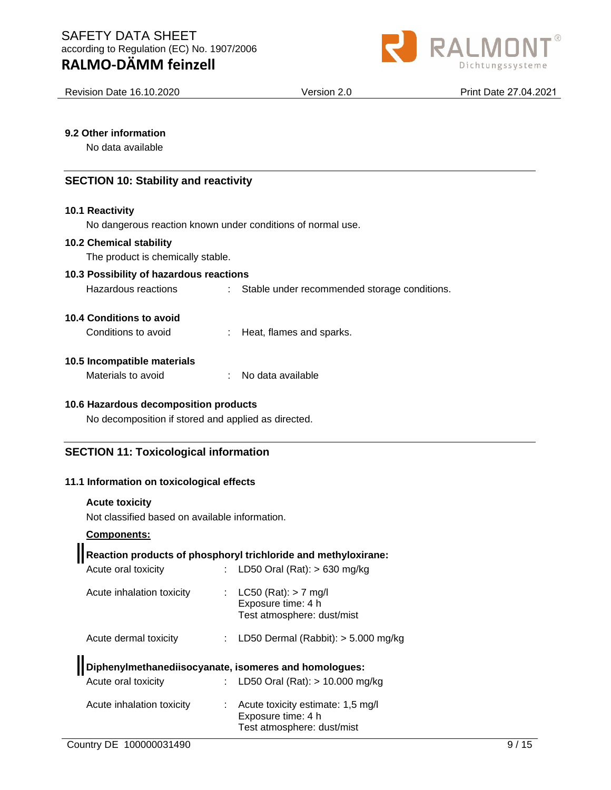

Revision Date 16.10.2020 Version 2.0 Print Date 27.04.2021

#### **9.2 Other information**

No data available

#### **SECTION 10: Stability and reactivity**

#### **10.1 Reactivity**

No dangerous reaction known under conditions of normal use.

#### **10.2 Chemical stability**

The product is chemically stable.

#### **10.3 Possibility of hazardous reactions**

Hazardous reactions : Stable under recommended storage conditions.

#### **10.4 Conditions to avoid**

| Conditions to avoid |  | Heat, flames and sparks. |
|---------------------|--|--------------------------|
|---------------------|--|--------------------------|

#### **10.5 Incompatible materials**

| Materials to avoid |  | No data available |
|--------------------|--|-------------------|
|--------------------|--|-------------------|

#### **10.6 Hazardous decomposition products**

No decomposition if stored and applied as directed.

#### **SECTION 11: Toxicological information**

#### **11.1 Information on toxicological effects**

#### **Acute toxicity**

Not classified based on available information.

#### **Components:**

# **Reaction products of phosphoryl trichloride and methyloxirane:**

| Acute oral toxicity                              |    | : LD50 Oral (Rat): $> 630$ mg/kg                                                                                                                                                      |
|--------------------------------------------------|----|---------------------------------------------------------------------------------------------------------------------------------------------------------------------------------------|
| Acute inhalation toxicity                        |    | : $LC50 (Rat): > 7 mg/l$<br>Exposure time: 4 h<br>Test atmosphere: dust/mist                                                                                                          |
| Acute dermal toxicity                            |    | : LD50 Dermal (Rabbit): $>$ 5.000 mg/kg                                                                                                                                               |
| Acute oral toxicity<br>Acute inhalation toxicity | ÷. | Diphenylmethanediisocyanate, isomeres and homologues:<br>: LD50 Oral (Rat): $> 10.000$ mg/kg<br>Acute toxicity estimate: 1,5 mg/l<br>Exposure time: 4 h<br>Test atmosphere: dust/mist |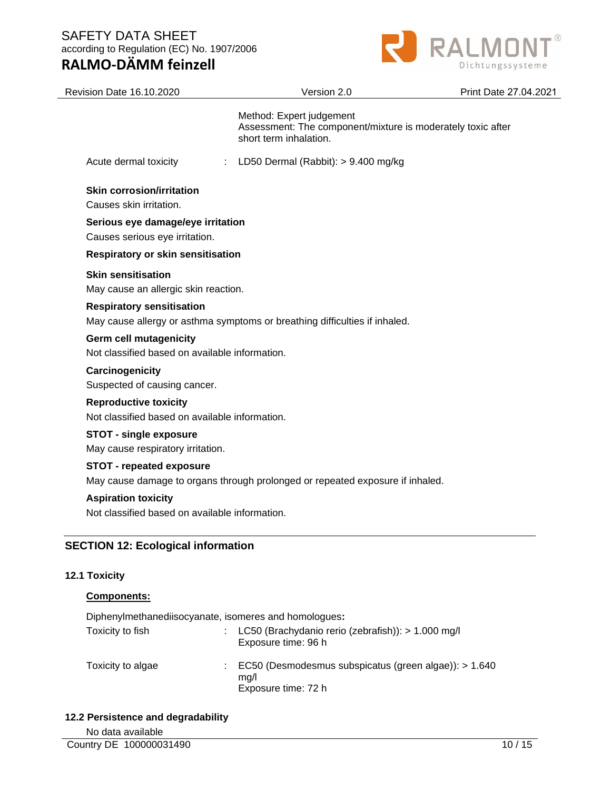



| Revision Date 16.10.2020                                                        | Version 2.0                                                                                                       | Print Date 27.04.2021 |
|---------------------------------------------------------------------------------|-------------------------------------------------------------------------------------------------------------------|-----------------------|
|                                                                                 | Method: Expert judgement<br>Assessment: The component/mixture is moderately toxic after<br>short term inhalation. |                       |
| Acute dermal toxicity<br>÷                                                      | LD50 Dermal (Rabbit): > 9.400 mg/kg                                                                               |                       |
| <b>Skin corrosion/irritation</b><br>Causes skin irritation.                     |                                                                                                                   |                       |
| Serious eye damage/eye irritation<br>Causes serious eye irritation.             |                                                                                                                   |                       |
| Respiratory or skin sensitisation                                               |                                                                                                                   |                       |
| <b>Skin sensitisation</b><br>May cause an allergic skin reaction.               |                                                                                                                   |                       |
| <b>Respiratory sensitisation</b>                                                | May cause allergy or asthma symptoms or breathing difficulties if inhaled.                                        |                       |
| <b>Germ cell mutagenicity</b><br>Not classified based on available information. |                                                                                                                   |                       |
| Carcinogenicity<br>Suspected of causing cancer.                                 |                                                                                                                   |                       |
| <b>Reproductive toxicity</b><br>Not classified based on available information.  |                                                                                                                   |                       |
| <b>STOT - single exposure</b><br>May cause respiratory irritation.              |                                                                                                                   |                       |
| <b>STOT - repeated exposure</b>                                                 | May cause damage to organs through prolonged or repeated exposure if inhaled.                                     |                       |
| <b>Aspiration toxicity</b><br>Not classified based on available information.    |                                                                                                                   |                       |
| <b>SECTION 12: Ecological information</b>                                       |                                                                                                                   |                       |

### **12.1 Toxicity**

| <b>Components:</b>                                    |                                                                                        |
|-------------------------------------------------------|----------------------------------------------------------------------------------------|
| Diphenylmethanediisocyanate, isomeres and homologues: |                                                                                        |
| Toxicity to fish                                      | LC50 (Brachydanio rerio (zebrafish)): > 1.000 mg/l<br>Exposure time: 96 h              |
| Toxicity to algae                                     | EC50 (Desmodesmus subspicatus (green algae)): $> 1.640$<br>mq/l<br>Exposure time: 72 h |

#### **12.2 Persistence and degradability**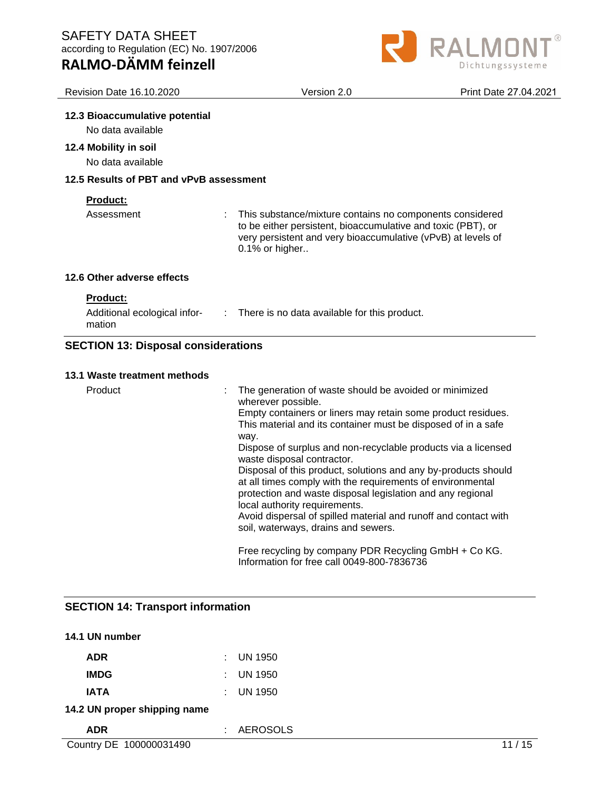

| <b>Revision Date 16.10.2020</b>                     | Version 2.0                                                                                                                                                                                                | Print Date 27.04.2021 |
|-----------------------------------------------------|------------------------------------------------------------------------------------------------------------------------------------------------------------------------------------------------------------|-----------------------|
| 12.3 Bioaccumulative potential<br>No data available |                                                                                                                                                                                                            |                       |
| 12.4 Mobility in soil<br>No data available          |                                                                                                                                                                                                            |                       |
| 12.5 Results of PBT and vPvB assessment             |                                                                                                                                                                                                            |                       |
| <b>Product:</b><br>Assessment                       | This substance/mixture contains no components considered<br>to be either persistent, bioaccumulative and toxic (PBT), or<br>very persistent and very bioaccumulative (vPvB) at levels of<br>0.1% or higher |                       |
| 12.6 Other adverse effects                          |                                                                                                                                                                                                            |                       |
| Product:<br>Additional ecological infor-<br>mation  | $\therefore$ There is no data available for this product.                                                                                                                                                  |                       |

# **SECTION 13: Disposal considerations**

#### **13.1 Waste treatment methods**

| 3.1 Waste treatment methods |                                                                                                                                                                                                                             |
|-----------------------------|-----------------------------------------------------------------------------------------------------------------------------------------------------------------------------------------------------------------------------|
| Product                     | The generation of waste should be avoided or minimized<br>wherever possible.                                                                                                                                                |
|                             | Empty containers or liners may retain some product residues.<br>This material and its container must be disposed of in a safe<br>way.                                                                                       |
|                             | Dispose of surplus and non-recyclable products via a licensed<br>waste disposal contractor.                                                                                                                                 |
|                             | Disposal of this product, solutions and any by-products should<br>at all times comply with the requirements of environmental<br>protection and waste disposal legislation and any regional<br>local authority requirements. |
|                             | Avoid dispersal of spilled material and runoff and contact with<br>soil, waterways, drains and sewers.                                                                                                                      |
|                             | Free recycling by company PDR Recycling GmbH + Co KG.<br>Information for free call 0049-800-7836736                                                                                                                         |

# **SECTION 14: Transport information**

| 14.1 UN number               |    |                 |    |
|------------------------------|----|-----------------|----|
| <b>ADR</b>                   | ÷. | <b>UN 1950</b>  |    |
| <b>IMDG</b>                  | ÷. | <b>UN 1950</b>  |    |
| <b>IATA</b>                  | ÷. | <b>UN 1950</b>  |    |
| 14.2 UN proper shipping name |    |                 |    |
| <b>ADR</b>                   | t. | <b>AEROSOLS</b> |    |
| Country DE 100000031490      |    |                 | 15 |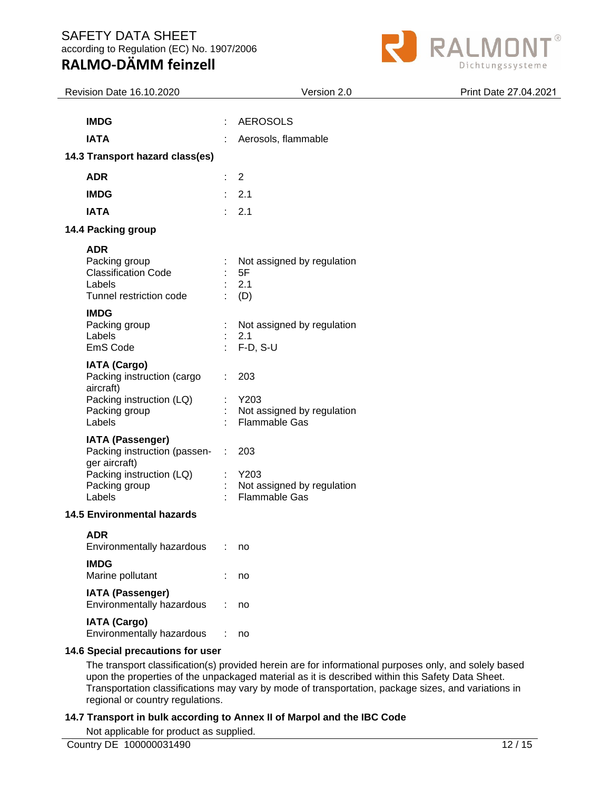

| Revision Date 16.10.2020                                                                                                        | Version 2.0                                                             | Print Date 27.04.2021 |
|---------------------------------------------------------------------------------------------------------------------------------|-------------------------------------------------------------------------|-----------------------|
|                                                                                                                                 |                                                                         |                       |
| <b>IMDG</b>                                                                                                                     | <b>AEROSOLS</b>                                                         |                       |
| <b>IATA</b>                                                                                                                     | Aerosols, flammable                                                     |                       |
| 14.3 Transport hazard class(es)                                                                                                 |                                                                         |                       |
| <b>ADR</b>                                                                                                                      | 2                                                                       |                       |
| <b>IMDG</b>                                                                                                                     | 2.1<br>÷                                                                |                       |
| <b>IATA</b>                                                                                                                     | 2.1                                                                     |                       |
| 14.4 Packing group                                                                                                              |                                                                         |                       |
| <b>ADR</b><br>Packing group<br><b>Classification Code</b><br>Labels<br>Tunnel restriction code                                  | Not assigned by regulation<br>5F<br>2.1<br>(D)                          |                       |
| <b>IMDG</b><br>Packing group<br>Labels<br>EmS Code                                                                              | Not assigned by regulation<br>2.1<br>$F-D, S-U$                         |                       |
| <b>IATA (Cargo)</b><br>Packing instruction (cargo<br>aircraft)<br>Packing instruction (LQ)<br>Packing group<br>Labels           | ÷.<br>203<br>Y203<br>Not assigned by regulation<br><b>Flammable Gas</b> |                       |
| <b>IATA (Passenger)</b><br>Packing instruction (passen-<br>ger aircraft)<br>Packing instruction (LQ)<br>Packing group<br>Labels | 203<br>÷<br>Y203<br>Not assigned by regulation<br><b>Flammable Gas</b>  |                       |
| <b>14.5 Environmental hazards</b>                                                                                               |                                                                         |                       |
| <b>ADR</b><br>Environmentally hazardous                                                                                         | ÷<br>no                                                                 |                       |
| <b>IMDG</b><br>Marine pollutant                                                                                                 | no                                                                      |                       |
| <b>IATA (Passenger)</b><br>Environmentally hazardous                                                                            | no                                                                      |                       |
| IATA (Cargo)<br>Environmentally hazardous                                                                                       | ÷<br>no                                                                 |                       |
| 14.6 Special precautions for user                                                                                               |                                                                         |                       |
|                                                                                                                                 | <i>Constituted</i> beauting and fax information                         |                       |

The transport classification(s) provided herein are for informational purposes only, and solely based upon the properties of the unpackaged material as it is described within this Safety Data Sheet. Transportation classifications may vary by mode of transportation, package sizes, and variations in regional or country regulations.

# **14.7 Transport in bulk according to Annex II of Marpol and the IBC Code**

Not applicable for product as supplied.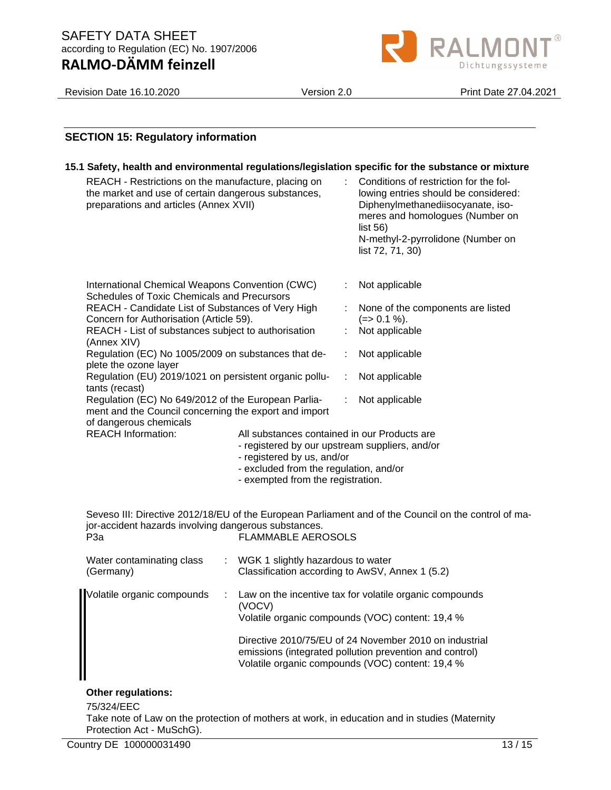

Revision Date 16.10.2020 Version 2.0 Print Date 27.04.2021

|                                                                                                                                                                                                                                                                                                                              | <b>SECTION 15: Regulatory information</b>                                                                                                                                                                     |                                                                                                                                                                                                                                                                       |                                                                                      |    |                                                                                                                                                                                                            |  |  |
|------------------------------------------------------------------------------------------------------------------------------------------------------------------------------------------------------------------------------------------------------------------------------------------------------------------------------|---------------------------------------------------------------------------------------------------------------------------------------------------------------------------------------------------------------|-----------------------------------------------------------------------------------------------------------------------------------------------------------------------------------------------------------------------------------------------------------------------|--------------------------------------------------------------------------------------|----|------------------------------------------------------------------------------------------------------------------------------------------------------------------------------------------------------------|--|--|
|                                                                                                                                                                                                                                                                                                                              | 15.1 Safety, health and environmental regulations/legislation specific for the substance or mixture                                                                                                           |                                                                                                                                                                                                                                                                       |                                                                                      |    |                                                                                                                                                                                                            |  |  |
|                                                                                                                                                                                                                                                                                                                              | REACH - Restrictions on the manufacture, placing on<br>the market and use of certain dangerous substances,<br>preparations and articles (Annex XVII)                                                          |                                                                                                                                                                                                                                                                       |                                                                                      | t. | Conditions of restriction for the fol-<br>lowing entries should be considered:<br>Diphenylmethanediisocyanate, iso-<br>meres and homologues (Number on<br>list $56$ )<br>N-methyl-2-pyrrolidone (Number on |  |  |
|                                                                                                                                                                                                                                                                                                                              |                                                                                                                                                                                                               |                                                                                                                                                                                                                                                                       |                                                                                      |    | list 72, 71, 30)                                                                                                                                                                                           |  |  |
|                                                                                                                                                                                                                                                                                                                              |                                                                                                                                                                                                               |                                                                                                                                                                                                                                                                       |                                                                                      |    |                                                                                                                                                                                                            |  |  |
|                                                                                                                                                                                                                                                                                                                              |                                                                                                                                                                                                               | International Chemical Weapons Convention (CWC)<br><b>Schedules of Toxic Chemicals and Precursors</b>                                                                                                                                                                 |                                                                                      |    | Not applicable                                                                                                                                                                                             |  |  |
|                                                                                                                                                                                                                                                                                                                              | REACH - Candidate List of Substances of Very High<br>Concern for Authorisation (Article 59).<br>REACH - List of substances subject to authorisation                                                           |                                                                                                                                                                                                                                                                       |                                                                                      |    | None of the components are listed<br>$(=>0.1\%)$ .                                                                                                                                                         |  |  |
|                                                                                                                                                                                                                                                                                                                              |                                                                                                                                                                                                               |                                                                                                                                                                                                                                                                       |                                                                                      |    | Not applicable                                                                                                                                                                                             |  |  |
|                                                                                                                                                                                                                                                                                                                              |                                                                                                                                                                                                               | (Annex XIV)<br>Regulation (EC) No 1005/2009 on substances that de-<br>plete the ozone layer<br>Regulation (EU) 2019/1021 on persistent organic pollu-<br>Regulation (EC) No 649/2012 of the European Parlia-<br>ment and the Council concerning the export and import |                                                                                      |    | Not applicable                                                                                                                                                                                             |  |  |
|                                                                                                                                                                                                                                                                                                                              |                                                                                                                                                                                                               |                                                                                                                                                                                                                                                                       |                                                                                      |    | Not applicable                                                                                                                                                                                             |  |  |
|                                                                                                                                                                                                                                                                                                                              | tants (recast)                                                                                                                                                                                                |                                                                                                                                                                                                                                                                       |                                                                                      |    | Not applicable                                                                                                                                                                                             |  |  |
|                                                                                                                                                                                                                                                                                                                              |                                                                                                                                                                                                               |                                                                                                                                                                                                                                                                       |                                                                                      |    |                                                                                                                                                                                                            |  |  |
|                                                                                                                                                                                                                                                                                                                              | of dangerous chemicals<br><b>REACH Information:</b>                                                                                                                                                           | All substances contained in our Products are                                                                                                                                                                                                                          |                                                                                      |    |                                                                                                                                                                                                            |  |  |
|                                                                                                                                                                                                                                                                                                                              |                                                                                                                                                                                                               | - registered by our upstream suppliers, and/or<br>- registered by us, and/or                                                                                                                                                                                          |                                                                                      |    |                                                                                                                                                                                                            |  |  |
|                                                                                                                                                                                                                                                                                                                              | - excluded from the regulation, and/or                                                                                                                                                                        |                                                                                                                                                                                                                                                                       |                                                                                      |    |                                                                                                                                                                                                            |  |  |
|                                                                                                                                                                                                                                                                                                                              | - exempted from the registration.                                                                                                                                                                             |                                                                                                                                                                                                                                                                       |                                                                                      |    |                                                                                                                                                                                                            |  |  |
|                                                                                                                                                                                                                                                                                                                              | Seveso III: Directive 2012/18/EU of the European Parliament and of the Council on the control of ma-<br>jor-accident hazards involving dangerous substances.<br><b>FLAMMABLE AEROSOLS</b><br>P <sub>3</sub> a |                                                                                                                                                                                                                                                                       |                                                                                      |    |                                                                                                                                                                                                            |  |  |
|                                                                                                                                                                                                                                                                                                                              | Water contaminating class<br>(Germany)                                                                                                                                                                        |                                                                                                                                                                                                                                                                       | WGK 1 slightly hazardous to water<br>Classification according to AwSV, Annex 1 (5.2) |    |                                                                                                                                                                                                            |  |  |
| Volatile organic compounds<br>Law on the incentive tax for volatile organic compounds<br>(VOCV)<br>Volatile organic compounds (VOC) content: 19,4 %<br>Directive 2010/75/EU of 24 November 2010 on industrial<br>emissions (integrated pollution prevention and control)<br>Volatile organic compounds (VOC) content: 19,4 % |                                                                                                                                                                                                               |                                                                                                                                                                                                                                                                       |                                                                                      |    |                                                                                                                                                                                                            |  |  |
|                                                                                                                                                                                                                                                                                                                              |                                                                                                                                                                                                               |                                                                                                                                                                                                                                                                       |                                                                                      |    |                                                                                                                                                                                                            |  |  |
|                                                                                                                                                                                                                                                                                                                              |                                                                                                                                                                                                               |                                                                                                                                                                                                                                                                       |                                                                                      |    |                                                                                                                                                                                                            |  |  |

# **Other regulations:**

#### 75/324/EEC

Take note of Law on the protection of mothers at work, in education and in studies (Maternity Protection Act - MuSchG).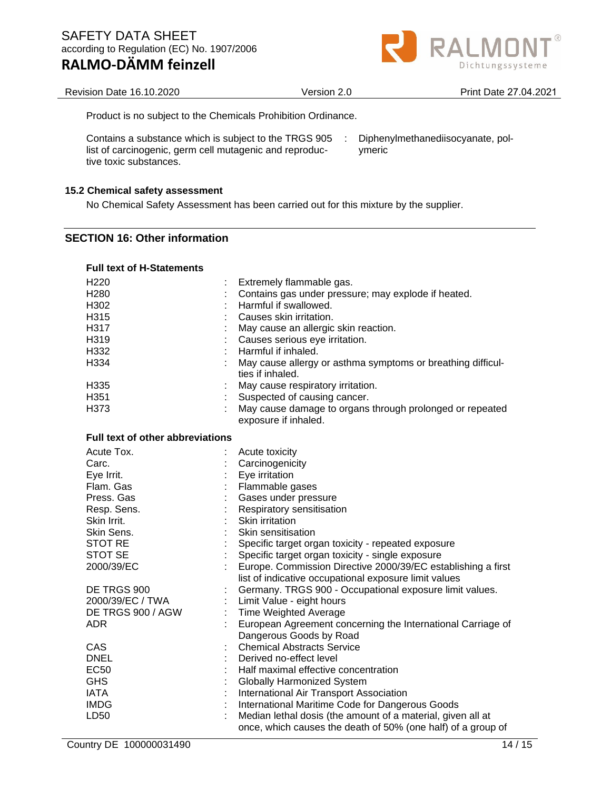| Product is no subject to the Chemicals Prohibition Ordinance. |  |  |
|---------------------------------------------------------------|--|--|

Contains a substance which is subject to the TRGS 905 list of carcinogenic, germ cell mutagenic and reproductive toxic substances. : Diphenylmethanediisocyanate, polymeric

#### **15.2 Chemical safety assessment**

No Chemical Safety Assessment has been carried out for this mixture by the supplier.

#### **SECTION 16: Other information**

#### **Full text of H-Statements**

| H <sub>220</sub><br>H <sub>280</sub><br>H302<br>H315<br>H317<br>H319<br>H332<br>H334<br>H335<br>H351<br>H373                                               | Extremely flammable gas.<br>Contains gas under pressure; may explode if heated.<br>Harmful if swallowed.<br>Causes skin irritation.<br>May cause an allergic skin reaction.<br>Causes serious eye irritation.<br>Harmful if inhaled.<br>May cause allergy or asthma symptoms or breathing difficul-<br>ties if inhaled.<br>May cause respiratory irritation.<br>Suspected of causing cancer.<br>May cause damage to organs through prolonged or repeated<br>exposure if inhaled. |
|------------------------------------------------------------------------------------------------------------------------------------------------------------|----------------------------------------------------------------------------------------------------------------------------------------------------------------------------------------------------------------------------------------------------------------------------------------------------------------------------------------------------------------------------------------------------------------------------------------------------------------------------------|
| <b>Full text of other abbreviations</b>                                                                                                                    |                                                                                                                                                                                                                                                                                                                                                                                                                                                                                  |
| Acute Tox.<br>Carc.<br>Eye Irrit.<br>Flam. Gas<br>Press. Gas<br>Resp. Sens.<br>Skin Irrit.<br>Skin Sens.<br><b>STOT RE</b><br><b>STOT SE</b><br>2000/39/EC | Acute toxicity<br>Carcinogenicity<br>Eye irritation<br>Flammable gases<br>Gases under pressure<br>Respiratory sensitisation<br>Skin irritation<br>Skin sensitisation<br>Specific target organ toxicity - repeated exposure<br>Specific target organ toxicity - single exposure<br>Europe. Commission Directive 2000/39/EC establishing a first                                                                                                                                   |
| DE TRGS 900<br>2000/39/EC / TWA<br>DE TRGS 900 / AGW<br><b>ADR</b><br>CAS<br><b>DNEL</b><br><b>EC50</b>                                                    | list of indicative occupational exposure limit values<br>Germany. TRGS 900 - Occupational exposure limit values.<br>Limit Value - eight hours<br><b>Time Weighted Average</b><br>European Agreement concerning the International Carriage of<br>Dangerous Goods by Road<br><b>Chemical Abstracts Service</b><br>Derived no-effect level<br>Half maximal effective concentration                                                                                                  |
| <b>GHS</b><br><b>IATA</b><br><b>IMDG</b><br>LD50                                                                                                           | <b>Globally Harmonized System</b><br>International Air Transport Association<br>International Maritime Code for Dangerous Goods<br>Median lethal dosis (the amount of a material, given all at<br>once, which causes the death of 50% (one half) of a group of                                                                                                                                                                                                                   |



Revision Date 16.10.2020 Version 2.0 Print Date 27.04.2021